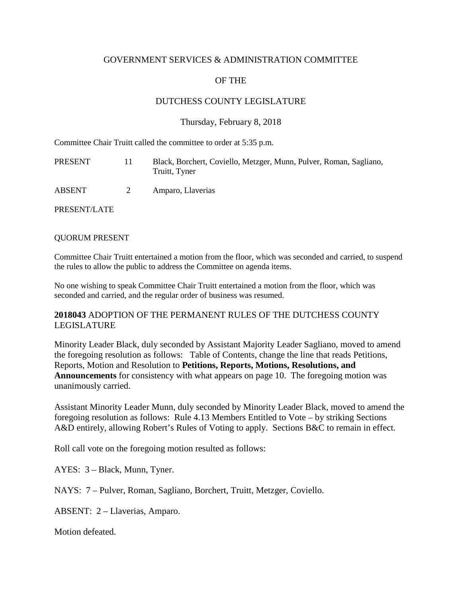## GOVERNMENT SERVICES & ADMINISTRATION COMMITTEE

# OF THE

# DUTCHESS COUNTY LEGISLATURE

### Thursday, February 8, 2018

Committee Chair Truitt called the committee to order at 5:35 p.m.

| PRESENT      | Ħ | Black, Borchert, Coviello, Metzger, Munn, Pulver, Roman, Sagliano,<br>Truitt, Tyner |
|--------------|---|-------------------------------------------------------------------------------------|
| ABSENT       | 2 | Amparo, Llaverias                                                                   |
| PRESENT/LATE |   |                                                                                     |

#### QUORUM PRESENT

Committee Chair Truitt entertained a motion from the floor, which was seconded and carried, to suspend the rules to allow the public to address the Committee on agenda items.

No one wishing to speak Committee Chair Truitt entertained a motion from the floor, which was seconded and carried, and the regular order of business was resumed.

## **2018043** ADOPTION OF THE PERMANENT RULES OF THE DUTCHESS COUNTY LEGISLATURE

Minority Leader Black, duly seconded by Assistant Majority Leader Sagliano, moved to amend the foregoing resolution as follows: Table of Contents, change the line that reads Petitions, Reports, Motion and Resolution to **Petitions, Reports, Motions, Resolutions, and Announcements** for consistency with what appears on page 10. The foregoing motion was unanimously carried.

Assistant Minority Leader Munn, duly seconded by Minority Leader Black, moved to amend the foregoing resolution as follows: Rule 4.13 Members Entitled to Vote – by striking Sections A&D entirely, allowing Robert's Rules of Voting to apply. Sections B&C to remain in effect.

Roll call vote on the foregoing motion resulted as follows:

AYES: 3 – Black, Munn, Tyner.

NAYS: 7 – Pulver, Roman, Sagliano, Borchert, Truitt, Metzger, Coviello.

ABSENT: 2 – Llaverias, Amparo.

Motion defeated.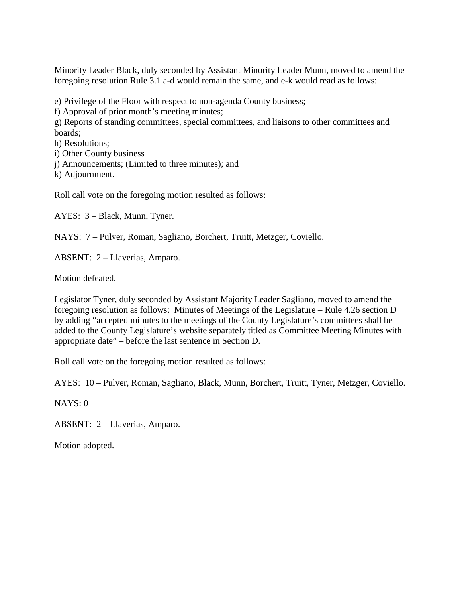Minority Leader Black, duly seconded by Assistant Minority Leader Munn, moved to amend the foregoing resolution Rule 3.1 a-d would remain the same, and e-k would read as follows:

e) Privilege of the Floor with respect to non-agenda County business;

f) Approval of prior month's meeting minutes;

g) Reports of standing committees, special committees, and liaisons to other committees and boards;

h) Resolutions;

i) Other County business

j) Announcements; (Limited to three minutes); and

k) Adjournment.

Roll call vote on the foregoing motion resulted as follows:

AYES: 3 – Black, Munn, Tyner.

NAYS: 7 – Pulver, Roman, Sagliano, Borchert, Truitt, Metzger, Coviello.

ABSENT: 2 – Llaverias, Amparo.

Motion defeated.

Legislator Tyner, duly seconded by Assistant Majority Leader Sagliano, moved to amend the foregoing resolution as follows: Minutes of Meetings of the Legislature – Rule 4.26 section D by adding "accepted minutes to the meetings of the County Legislature's committees shall be added to the County Legislature's website separately titled as Committee Meeting Minutes with appropriate date" – before the last sentence in Section D.

Roll call vote on the foregoing motion resulted as follows:

AYES: 10 – Pulver, Roman, Sagliano, Black, Munn, Borchert, Truitt, Tyner, Metzger, Coviello.

NAYS: 0

ABSENT: 2 – Llaverias, Amparo.

Motion adopted.